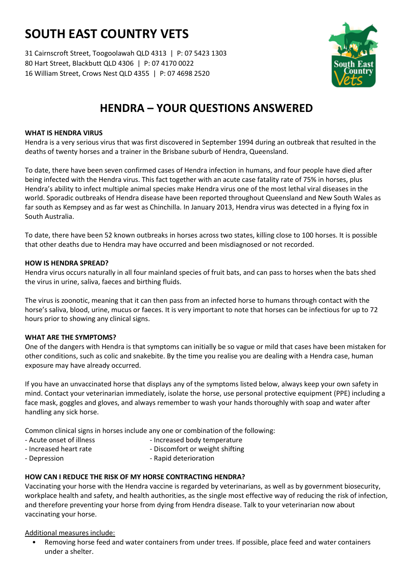# **SOUTH EAST COUNTRY VETS**

31 Cairnscroft Street, Toogoolawah QLD 4313 | P: 07 5423 1303 80 Hart Street, Blackbutt QLD 4306 | P: 07 4170 0022 16 William Street, Crows Nest QLD 4355 | P: 07 4698 2520



# **HENDRA – YOUR QUESTIONS ANSWERED**

# **WHAT IS HENDRA VIRUS**

Hendra is a very serious virus that was first discovered in September 1994 during an outbreak that resulted in the deaths of twenty horses and a trainer in the Brisbane suburb of Hendra, Queensland.

To date, there have been seven confirmed cases of Hendra infection in humans, and four people have died after being infected with the Hendra virus. This fact together with an acute case fatality rate of 75% in horses, plus Hendra's ability to infect multiple animal species make Hendra virus one of the most lethal viral diseases in the world. Sporadic outbreaks of Hendra disease have been reported throughout Queensland and New South Wales as far south as Kempsey and as far west as Chinchilla. In January 2013, Hendra virus was detected in a flying fox in South Australia.

To date, there have been 52 known outbreaks in horses across two states, killing close to 100 horses. It is possible that other deaths due to Hendra may have occurred and been misdiagnosed or not recorded.

# **HOW IS HENDRA SPREAD?**

Hendra virus occurs naturally in all four mainland species of fruit bats, and can pass to horses when the bats shed the virus in urine, saliva, faeces and birthing fluids.

The virus is zoonotic, meaning that it can then pass from an infected horse to humans through contact with the horse's saliva, blood, urine, mucus or faeces. It is very important to note that horses can be infectious for up to 72 hours prior to showing any clinical signs.

#### **WHAT ARE THE SYMPTOMS?**

One of the dangers with Hendra is that symptoms can initially be so vague or mild that cases have been mistaken for other conditions, such as colic and snakebite. By the time you realise you are dealing with a Hendra case, human exposure may have already occurred.

If you have an unvaccinated horse that displays any of the symptoms listed below, always keep your own safety in mind. Contact your veterinarian immediately, isolate the horse, use personal protective equipment (PPE) including a face mask, goggles and gloves, and always remember to wash your hands thoroughly with soap and water after handling any sick horse.

Common clinical signs in horses include any one or combination of the following:

- 
- Acute onset of illness Increased body temperature
- 
- Increased heart rate  $\qquad \qquad$  Discomfort or weight shifting
	-
- Depression **Contract Contract Executive Contract Contract Contract Contract Contract Contract Contract Contract Contract Contract Contract Contract Contract Contract Contract Contract Contract Contract Contract Contract**

# **HOW CAN I REDUCE THE RISK OF MY HORSE CONTRACTING HENDRA?**

Vaccinating your horse with the Hendra vaccine is regarded by veterinarians, as well as by government biosecurity, workplace health and safety, and health authorities, as the single most effective way of reducing the risk of infection, and therefore preventing your horse from dying from Hendra disease. Talk to your veterinarian now about vaccinating your horse.

Additional measures include:

• Removing horse feed and water containers from under trees. If possible, place feed and water containers under a shelter.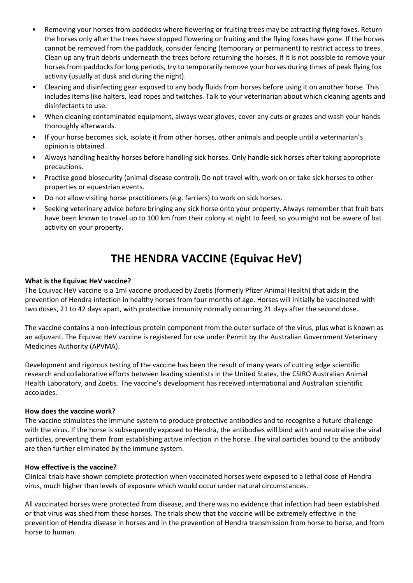- Removing your horses from paddocks where flowering or fruiting trees may be attracting flying foxes. Return the horses only after the trees have stopped flowering or fruiting and the flying foxes have gone. If the horses cannot be removed from the paddock, consider fencing (temporary or permanent) to restrict access to trees. Clean up any fruit debris underneath the trees before returning the horses. If it is not possible to remove your horses from paddocks for long periods, try to temporarily remove your horses during times of peak flying fox activity (usually at dusk and during the night).
- Cleaning and disinfecting gear exposed to any body fluids from horses before using it on another horse. This includes items like halters, lead ropes and twitches. Talk to your veterinarian about which cleaning agents and disinfectants to use.
- When cleaning contaminated equipment, always wear gloves, cover any cuts or grazes and wash your hands thoroughly afterwards.
- If your horse becomes sick, isolate it from other horses, other animals and people until a veterinarian's opinion is obtained.
- Always handling healthy horses before handling sick horses. Only handle sick horses after taking appropriate precautions.
- Practise good biosecurity (animal disease control). Do not travel with, work on or take sick horses to other properties or equestrian events.
- Do not allow visiting horse practitioners (e.g. farriers) to work on sick horses.
- Seeking veterinary advice before bringing any sick horse onto your property. Always remember that fruit bats have been known to travel up to 100 km from their colony at night to feed, so you might not be aware of bat activity on your property.

# **THE HENDRA VACCINE (Equivac HeV)**

#### **What is the Equivac HeV vaccine?**

The Equivac HeV vaccine is a 1ml vaccine produced by Zoetis (formerly Pfizer Animal Health) that aids in the prevention of Hendra infection in healthy horses from four months of age. Horses will initially be vaccinated with two doses, 21 to 42 days apart, with protective immunity normally occurring 21 days after the second dose.

The vaccine contains a non-infectious protein component from the outer surface of the virus, plus what is known as an adjuvant. The Equivac HeV vaccine is registered for use under Permit by the Australian Government Veterinary Medicines Authority (APVMA).

Development and rigorous testing of the vaccine has been the result of many years of cutting edge scientific research and collaborative efforts between leading scientists in the United States, the CSIRO Australian Animal Health Laboratory, and Zoetis. The vaccine's development has received international and Australian scientific accolades.

#### **How does the vaccine work?**

The vaccine stimulates the immune system to produce protective antibodies and to recognise a future challenge with the virus. If the horse is subsequently exposed to Hendra, the antibodies will bind with and neutralise the viral particles, preventing them from establishing active infection in the horse. The viral particles bound to the antibody are then further eliminated by the immune system.

#### **How effective is the vaccine?**

Clinical trials have shown complete protection when vaccinated horses were exposed to a lethal dose of Hendra virus, much higher than levels of exposure which would occur under natural circumstances.

All vaccinated horses were protected from disease, and there was no evidence that infection had been established or that virus was shed from these horses. The trials show that the vaccine will be extremely effective in the prevention of Hendra disease in horses and in the prevention of Hendra transmission from horse to horse, and from horse to human.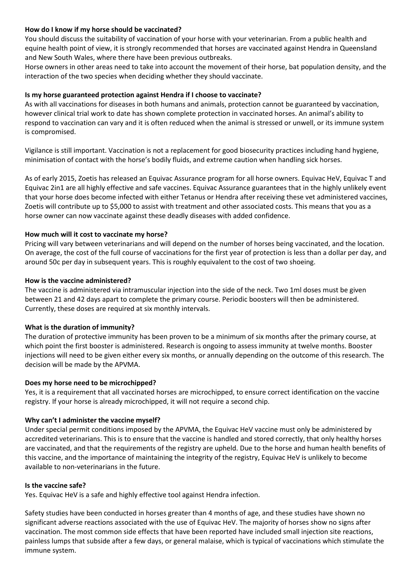# **How do I know if my horse should be vaccinated?**

You should discuss the suitability of vaccination of your horse with your veterinarian. From a public health and equine health point of view, it is strongly recommended that horses are vaccinated against Hendra in Queensland and New South Wales, where there have been previous outbreaks.

Horse owners in other areas need to take into account the movement of their horse, bat population density, and the interaction of the two species when deciding whether they should vaccinate.

# **Is my horse guaranteed protection against Hendra if I choose to vaccinate?**

As with all vaccinations for diseases in both humans and animals, protection cannot be guaranteed by vaccination, however clinical trial work to date has shown complete protection in vaccinated horses. An animal's ability to respond to vaccination can vary and it is often reduced when the animal is stressed or unwell, or its immune system is compromised.

Vigilance is still important. Vaccination is not a replacement for good biosecurity practices including hand hygiene, minimisation of contact with the horse's bodily fluids, and extreme caution when handling sick horses.

As of early 2015, Zoetis has released an Equivac Assurance program for all horse owners. Equivac HeV, Equivac T and Equivac 2in1 are all highly effective and safe vaccines. Equivac Assurance guarantees that in the highly unlikely event that your horse does become infected with either Tetanus or Hendra after receiving these vet administered vaccines, Zoetis will contribute up to \$5,000 to assist with treatment and other associated costs. This means that you as a horse owner can now vaccinate against these deadly diseases with added confidence.

# **How much will it cost to vaccinate my horse?**

Pricing will vary between veterinarians and will depend on the number of horses being vaccinated, and the location. On average, the cost of the full course of vaccinations for the first year of protection is less than a dollar per day, and around 50c per day in subsequent years. This is roughly equivalent to the cost of two shoeing.

# **How is the vaccine administered?**

The vaccine is administered via intramuscular injection into the side of the neck. Two 1ml doses must be given between 21 and 42 days apart to complete the primary course. Periodic boosters will then be administered. Currently, these doses are required at six monthly intervals.

#### **What is the duration of immunity?**

The duration of protective immunity has been proven to be a minimum of six months after the primary course, at which point the first booster is administered. Research is ongoing to assess immunity at twelve months. Booster injections will need to be given either every six months, or annually depending on the outcome of this research. The decision will be made by the APVMA.

#### **Does my horse need to be microchipped?**

Yes, it is a requirement that all vaccinated horses are microchipped, to ensure correct identification on the vaccine registry. If your horse is already microchipped, it will not require a second chip.

#### **Why can't I administer the vaccine myself?**

Under special permit conditions imposed by the APVMA, the Equivac HeV vaccine must only be administered by accredited veterinarians. This is to ensure that the vaccine is handled and stored correctly, that only healthy horses are vaccinated, and that the requirements of the registry are upheld. Due to the horse and human health benefits of this vaccine, and the importance of maintaining the integrity of the registry, Equivac HeV is unlikely to become available to non-veterinarians in the future.

#### **Is the vaccine safe?**

Yes. Equivac HeV is a safe and highly effective tool against Hendra infection.

Safety studies have been conducted in horses greater than 4 months of age, and these studies have shown no significant adverse reactions associated with the use of Equivac HeV. The majority of horses show no signs after vaccination. The most common side effects that have been reported have included small injection site reactions, painless lumps that subside after a few days, or general malaise, which is typical of vaccinations which stimulate the immune system.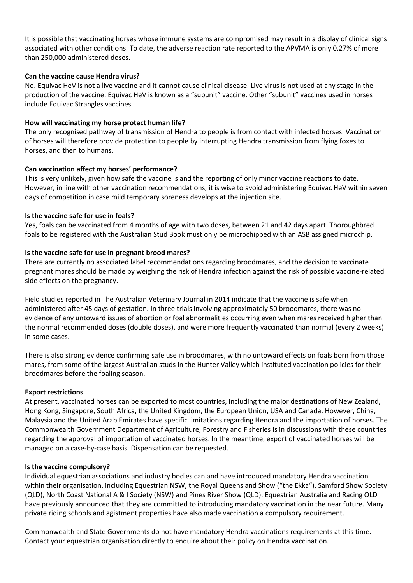It is possible that vaccinating horses whose immune systems are compromised may result in a display of clinical signs associated with other conditions. To date, the adverse reaction rate reported to the APVMA is only 0.27% of more than 250,000 administered doses.

#### **Can the vaccine cause Hendra virus?**

No. Equivac HeV is not a live vaccine and it cannot cause clinical disease. Live virus is not used at any stage in the production of the vaccine. Equivac HeV is known as a "subunit" vaccine. Other "subunit" vaccines used in horses include Equivac Strangles vaccines.

# **How will vaccinating my horse protect human life?**

The only recognised pathway of transmission of Hendra to people is from contact with infected horses. Vaccination of horses will therefore provide protection to people by interrupting Hendra transmission from flying foxes to horses, and then to humans.

# **Can vaccination affect my horses' performance?**

This is very unlikely, given how safe the vaccine is and the reporting of only minor vaccine reactions to date. However, in line with other vaccination recommendations, it is wise to avoid administering Equivac HeV within seven days of competition in case mild temporary soreness develops at the injection site.

# **Is the vaccine safe for use in foals?**

Yes, foals can be vaccinated from 4 months of age with two doses, between 21 and 42 days apart. Thoroughbred foals to be registered with the Australian Stud Book must only be microchipped with an ASB assigned microchip.

# **Is the vaccine safe for use in pregnant brood mares?**

There are currently no associated label recommendations regarding broodmares, and the decision to vaccinate pregnant mares should be made by weighing the risk of Hendra infection against the risk of possible vaccine-related side effects on the pregnancy.

Field studies reported in The Australian Veterinary Journal in 2014 indicate that the vaccine is safe when administered after 45 days of gestation. In three trials involving approximately 50 broodmares, there was no evidence of any untoward issues of abortion or foal abnormalities occurring even when mares received higher than the normal recommended doses (double doses), and were more frequently vaccinated than normal (every 2 weeks) in some cases.

There is also strong evidence confirming safe use in broodmares, with no untoward effects on foals born from those mares, from some of the largest Australian studs in the Hunter Valley which instituted vaccination policies for their broodmares before the foaling season.

#### **Export restrictions**

At present, vaccinated horses can be exported to most countries, including the major destinations of New Zealand, Hong Kong, Singapore, South Africa, the United Kingdom, the European Union, USA and Canada. However, China, Malaysia and the United Arab Emirates have specific limitations regarding Hendra and the importation of horses. The Commonwealth Government Department of Agriculture, Forestry and Fisheries is in discussions with these countries regarding the approval of importation of vaccinated horses. In the meantime, export of vaccinated horses will be managed on a case-by-case basis. Dispensation can be requested.

#### **Is the vaccine compulsory?**

Individual equestrian associations and industry bodies can and have introduced mandatory Hendra vaccination within their organisation, including Equestrian NSW, the Royal Queensland Show ("the Ekka"), Samford Show Society (QLD), North Coast National A & I Society (NSW) and Pines River Show (QLD). Equestrian Australia and Racing QLD have previously announced that they are committed to introducing mandatory vaccination in the near future. Many private riding schools and agistment properties have also made vaccination a compulsory requirement.

Commonwealth and State Governments do not have mandatory Hendra vaccinations requirements at this time. Contact your equestrian organisation directly to enquire about their policy on Hendra vaccination.